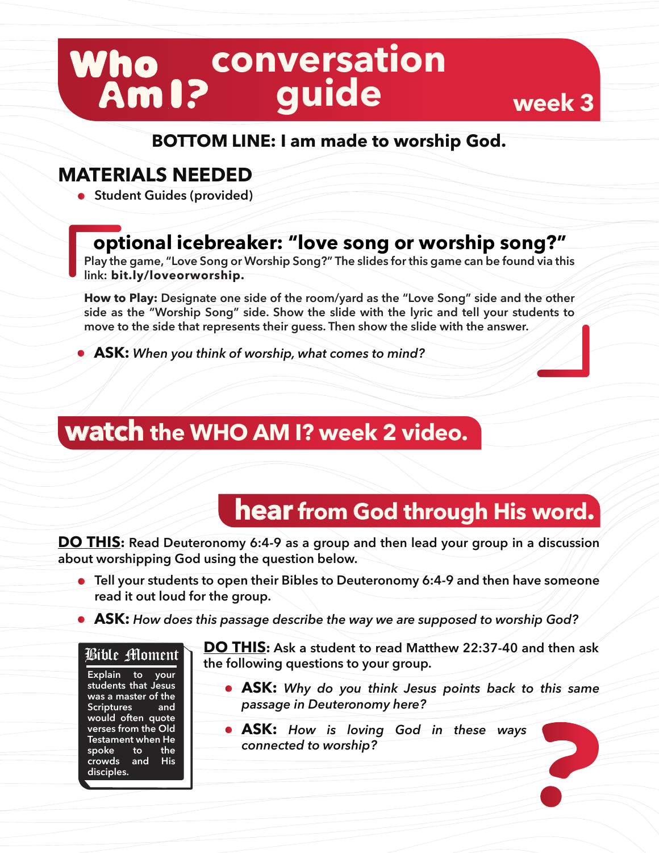# **conversation guide**

#### **BOTTOM LINE: I am made to worship God.**

#### **MATERIALS NEEDED**

**• Student Guides (provided)** 

### **optional icebreaker: "love song or worship song?"**

**Play the game, "Love Song or Worship Song?" The slides for this game can be found via this link: bit.ly/loveorworship.**

**How to Play: Designate one side of the room/yard as the "Love Song" side and the other side as the "Worship Song" side. Show the slide with the lyric and tell your students to move to the side that represents their guess. Then show the slide with the answer.** 

**ASK:** *When you think of worship, what comes to mind?*

## **watch the WHO AM I? week 2 video.**

### **hear from God through His word.**

**week 3**

**DO THIS: Read Deuteronomy 6:4-9 as a group and then lead your group in a discussion about worshipping God using the question below.** 

- **Tell your students to open their Bibles to Deuteronomy 6:4-9 and then have someone read it out loud for the group.**
- **ASK:** *How does this passage describe the way we are supposed to worship God?*

#### Bible Moment

**Explain to your students that Jesus was a master of the Scriptures and would often quote verses from the Old Testament when He spoke to the crowds and His disciples.** 

**DO THIS: Ask a student to read Matthew 22:37-40 and then ask the following questions to your group.** 

- **ASK:** *Why do you think Jesus points back to this same passage in Deuteronomy here?*
- **ASK:** *How is loving God in these ways connected to worship?*